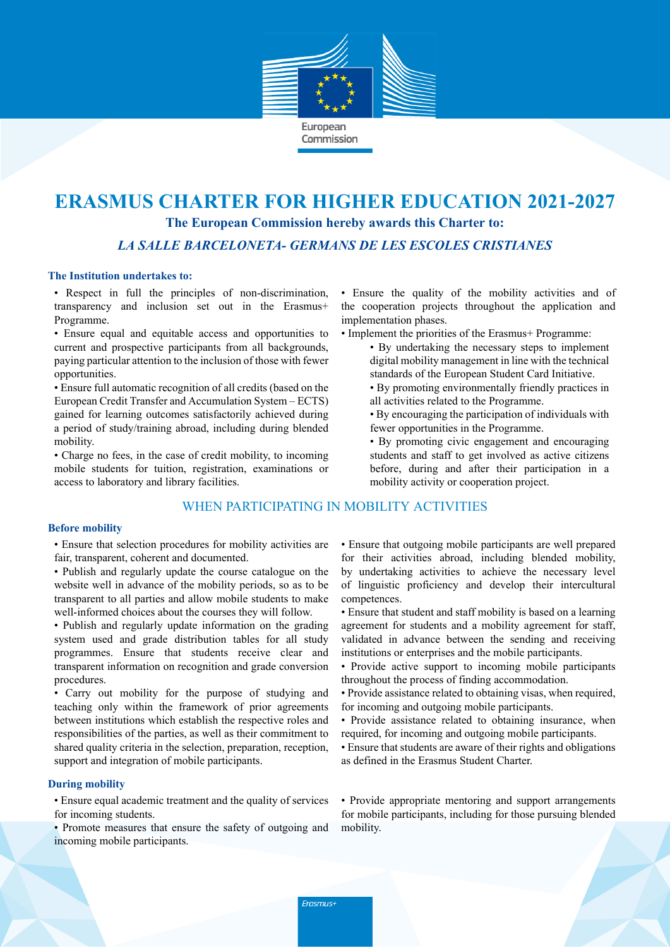

# **ERASMUS CHARTER FOR HIGHER EDUCATION 2021-2027**

**The European Commission hereby awards this Charter to:**

*LA SALLE BARCELONETA- GERMANS DE LES ESCOLES CRISTIANES*

## **The Institution undertakes to:**

• Respect in full the principles of non-discrimination, transparency and inclusion set out in the Erasmus+ Programme.

• Ensure equal and equitable access and opportunities to current and prospective participants from all backgrounds, paying particular attention to the inclusion of those with fewer opportunities.

• Ensure full automatic recognition of all credits (based on the European Credit Transfer and Accumulation System – ECTS) gained for learning outcomes satisfactorily achieved during a period of study/training abroad, including during blended mobility.

• Charge no fees, in the case of credit mobility, to incoming mobile students for tuition, registration, examinations or access to laboratory and library facilities.

## WHEN PARTICIPATING IN MOBILITY ACTIVITIES

#### **Before mobility**

• Ensure that selection procedures for mobility activities are fair, transparent, coherent and documented.

- Publish and regularly update the course catalogue on the website well in advance of the mobility periods, so as to be transparent to all parties and allow mobile students to make well-informed choices about the courses they will follow.
- Publish and regularly update information on the grading system used and grade distribution tables for all study programmes. Ensure that students receive clear and transparent information on recognition and grade conversion procedures.

• Carry out mobility for the purpose of studying and teaching only within the framework of prior agreements between institutions which establish the respective roles and responsibilities of the parties, as well as their commitment to shared quality criteria in the selection, preparation, reception, support and integration of mobile participants.

## **During mobility**

• Ensure equal academic treatment and the quality of services for incoming students.

• Promote measures that ensure the safety of outgoing and incoming mobile participants.

• Ensure the quality of the mobility activities and of the cooperation projects throughout the application and implementation phases.

- Implement the priorities of the Erasmus+ Programme:
	- By undertaking the necessary steps to implement digital mobility management in line with the technical standards of the European Student Card Initiative.
	- By promoting environmentally friendly practices in all activities related to the Programme.
	- By encouraging the participation of individuals with fewer opportunities in the Programme.
	- By promoting civic engagement and encouraging students and staff to get involved as active citizens before, during and after their participation in a mobility activity or cooperation project.

• Ensure that outgoing mobile participants are well prepared for their activities abroad, including blended mobility, by undertaking activities to achieve the necessary level of linguistic proficiency and develop their intercultural competences.

- Ensure that student and staff mobility is based on a learning agreement for students and a mobility agreement for staff, validated in advance between the sending and receiving institutions or enterprises and the mobile participants.
- Provide active support to incoming mobile participants throughout the process of finding accommodation.
- Provide assistance related to obtaining visas, when required, for incoming and outgoing mobile participants.
- Provide assistance related to obtaining insurance, when required, for incoming and outgoing mobile participants.
- Ensure that students are aware of their rights and obligations as defined in the Erasmus Student Charter.

• Provide appropriate mentoring and support arrangements for mobile participants, including for those pursuing blended mobility.

Erasmus+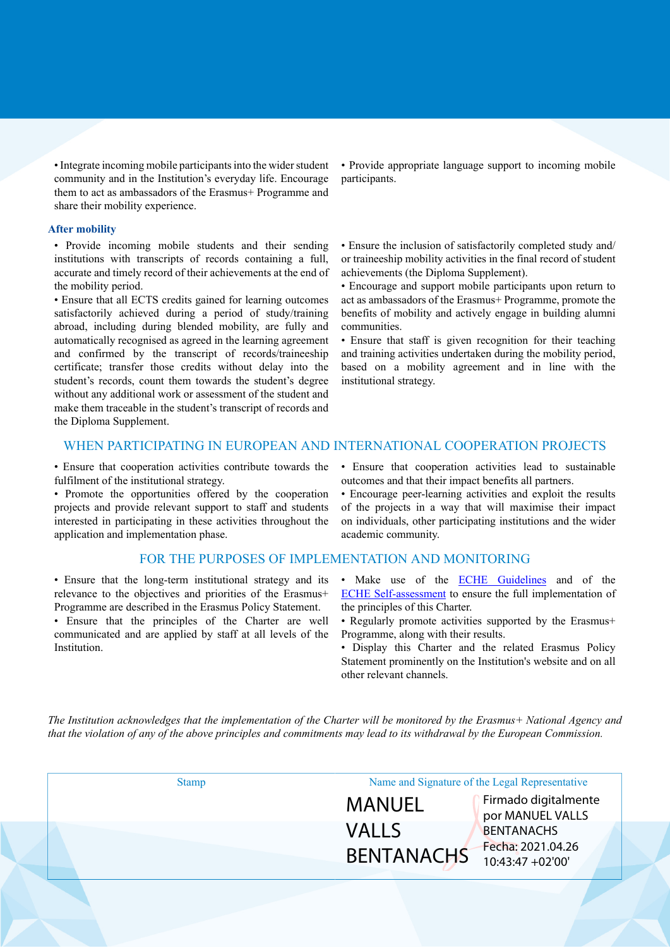• Integrate incoming mobile participants into the wider student community and in the Institution's everyday life. Encourage them to act as ambassadors of the Erasmus+ Programme and share their mobility experience.

#### **After mobility**

• Provide incoming mobile students and their sending institutions with transcripts of records containing a full, accurate and timely record of their achievements at the end of the mobility period.

• Ensure that all ECTS credits gained for learning outcomes satisfactorily achieved during a period of study/training abroad, including during blended mobility, are fully and automatically recognised as agreed in the learning agreement and confirmed by the transcript of records/traineeship certificate; transfer those credits without delay into the student's records, count them towards the student's degree without any additional work or assessment of the student and make them traceable in the student's transcript of records and the Diploma Supplement.

• Provide appropriate language support to incoming mobile participants.

• Ensure the inclusion of satisfactorily completed study and/ or traineeship mobility activities in the final record of student achievements (the Diploma Supplement).

• Encourage and support mobile participants upon return to act as ambassadors of the Erasmus+ Programme, promote the benefits of mobility and actively engage in building alumni communities.

• Ensure that staff is given recognition for their teaching and training activities undertaken during the mobility period, based on a mobility agreement and in line with the institutional strategy.

## WHEN PARTICIPATING IN EUROPEAN AND INTERNATIONAL COOPERATION PROJECTS

• Ensure that cooperation activities contribute towards the fulfilment of the institutional strategy.

• Promote the opportunities offered by the cooperation projects and provide relevant support to staff and students interested in participating in these activities throughout the application and implementation phase.

#### FOR THE PURPOSES OF IMPLEMENTATION AND MONITORING

• Ensure that the long-term institutional strategy and its relevance to the objectives and priorities of the Erasmus+ Programme are described in the Erasmus Policy Statement.

• Ensure that the principles of the Charter are well communicated and are applied by staff at all levels of the Institution.

• Ensure that cooperation activities lead to sustainable outcomes and that their impact benefits all partners.

• Encourage peer-learning activities and exploit the results of the projects in a way that will maximise their impact on individuals, other participating institutions and the wider academic community.

- Make use of the **ECHE Guidelines** and of the [ECHE Self-assessment](https://ec.europa.eu/programmes/erasmus-plus/eche/start_en) to ensure the full implementation of the principles of this Charter.
- Regularly promote activities supported by the Erasmus+ Programme, along with their results.
- Display this Charter and the related Erasmus Policy Statement prominently on the Institution's website and on all other relevant channels.

The Institution acknowledges that the implementation of the Charter will be monitored by the Erasmus+ National Agency and that the violation of any of the above principles and commitments may lead to its withdrawal by the European Commission.

| <b>Stamp</b> | Name and Signature of the Legal Representative |                                          |
|--------------|------------------------------------------------|------------------------------------------|
|              | MANUEL                                         | Firmado digitalmente<br>por MANUEL VALLS |
|              | <b>VALLS</b>                                   | <b>BENTANACHS</b>                        |
|              | <b>BENTANACHS</b>                              | Fecha: 2021.04.26<br>10:43:47 +02'00'    |
|              |                                                |                                          |